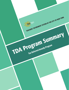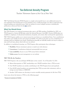# Tax-Deferred Annuity Program

*Teachers' Retirement System of the City of New York*

TRS' Tax-Deferred Annuity (TDA) Program is a simple and powerful way to save additional money for your retirement. By investing part of your paycheck—even a small percentage—you take an important step toward funding your retirement years. Visit our website for more in-depth resources, including the publications referenced below by the  $\Box$  symbol.

#### What You Should Know

The TDA Program is an optional investment plan open to all TRS members. Established in 1970, our TDA Program is a Section 403(b) plan under the Internal Revenue Code (IRC). Section 403(b) plans are available to employees of educational institutions, hospitals, and certain other not-for-profit organizations.

TRS' TDA Program enables you to invest money for your future on a tax-deferred basis. Your contributions may reduce your taxable income and current tax liability. You will not pay taxes on your contributions or earnings until you withdraw your funds. Distributions generally are federally taxable and may be subject to state and local taxes; please check with your tax advisor.

In addition to tax-deferred investing, our TDA Program offers participants these advantages:

- **Flexibility:** Diverse investment options to match your risk tolerance
- **Convenience:** Contributions deducted automatically from your pay
- **Loan availability:** Access to your TDA money before retirement
- **Online access:** Account management on our website

#### **TRS' TDA By the Numbers**

TRS' TDA Program is the second-largest 403(b) plan in the country\*. As of December 31, 2021:

- Almost three-quarters of TRS' membership—over 154,000 members—have a TDA account.
- Over 90,000 members are actively contributing to the TDA Program from each paycheck.
- Over 60,000 retired members are maintaining their TDA accounts after retirement, with an average account balance of \$469,000.
- Another 3,000 retirees are choosing to receive monthly annuity payments for life from TDA.

Learn more about the features of TDA on the following pages!

*\* Pensions & Investments (2/14/2022).*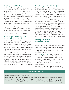# Enrolling in the TDA Program

All TRS members are eligible to participate in the TDA Program. You can enroll quickly and securely by logging in to the secure section of our website, see "Online TDA Account Access," page 7.

When you enroll in the TDA Program, you choose a percentage of your pay to contribute, and designate how your contributions will be applied among TRS' investment options. In general, your TDA contributions would begin on the first payroll that begins at least 30 days after TRS receives your enrollment request.

As part of the enrollment process, you should also designate a beneficiary for your TDA funds, see "Providing for Your Survivors," page 6. It is important to keep your beneficiary designations current throughout your TDA participation.

## Comparing the TDA Program to TRS' Qualified Pension Plan

All TRS members automatically participate in the Qualified Pension Plan (QPP), a defined-benefit plan that guarantees a specific benefit at retirement. You are required to contribute a portion of your salary to the QPP; in addition, your employer makes contributions on your behalf. QPP funds form the basis for your retirement allowance.

In contrast, TRS' TDA Program is a voluntary defined-contribution plan that supplements your retirement allowance. You determine the amount you contribute each year, within Internal Revenue Service (IRS) limits. Your TDA account is funded exclusively through your own contributions and any interest/investment return. The benefits you receive depend solely on your TDA account balance.

## Contributing to the TDA Program

Federal law allows members to contribute up to a designated amount to TRS' TDA Program each year. In addition, members 50 years and older are eligible to make additional pre-tax "catch-up" contributions. A separate "catch-up" rule applies for certain members with 15 years of qualifying City employment. See the box below for contribution amounts.

If you are a contributor to TRS' TDA Program and an external 401(k) Plan, you should be aware that IRS contribution limits are applied cumulatively to the total of your TDA Program and 401(k) Plan contributions. However, contributions to a 457 Plan are considered separately. (For example, since the IRS contribution limit for 2022 is \$20,500, you would be able to contribute a total combined amount of \$20,500 to your TDA and a 401(k) Plan in 2022. If you also participate in a 457 Plan, you would be able to contribute up to \$20,500 to that plan as well.)

## Offering You Diverse Investment Options

Financial experts agree that no single investment strategy is suitable for all investors. Accordingly, TRS offers you several investment options—the Passport Funds—for your TDA account. You may invest in any or all of the following investment options to reach your financial goals:

The **Fixed Return Fund** offers a guaranteed rate of return set by the New York State Legislature in accordance with applicable laws. The current annual rate is 7% for members who are serving in (or resigned/retired from) titles represented by the United Federation of Teachers (UFT) and 8.25% for other members.

The returns on the other investment options—known as "variable-return" Passport Funds—fluctuate monthly.

#### **TDA Contribution Limits for 2022**

- The general contribution limit is \$20,500 per year.
- Members age 50 and older may make additional "catch-up" contributions of \$6,500 per year over this contribution limit.
- Members with 15 years of qualifying City employment (who have contributed an average of \$5,000 or less per year) may contribute up to an additional \$3,000 per year in "catch-up" contributions, up to a total of \$15,000 during their working years.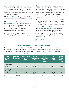The **Diversified Equity Fund** invests primarily in the stocks of U.S. companies. It also invests a portion of assets in stocks of non-U.S. companies and other types of investments. The objective is to achieve a rate of return comparable to the return of the broad equity market.

The **Balanced Fund** is a moderately conservative investment option that includes exposure to bonds and stocks. The objective is to seek current income and some capital appreciation.

The **International Equity Fund** invests primarily in the stocks of non-U.S. companies located in developed markets, traded on a variety of stock exchanges, and denominated in a variety of currencies around the world. The objectives are to provide long-term capital growth and to achieve a rate of return comparable to the return of the non-U.S. equity markets over a full market cycle.

The **Sustainable Equity Fund** invests primarily in stocks of large- and mid-cap U.S. companies with sustainable business strategies to drive their prospects for future earnings growth. The objective is to achieve positive long-term capital appreciation over a full market cycle, with a focus on sustainability characteristics including environmental, social, and governance (ESG) factors.

The **U.S. Equity Index Fund** invests in the 3,000+ securities in the Dow Jones U.S. Total Stock Market Index. The objective is to track the total return of the broad U.S. equity market, including large-, mid-, and small-capitalization stocks

The **International Equity Index Fund** invests in the 6,000+ securities in the MSCI All Country World ex USA Investable Market Index. The objective is to track the total return of non-U.S. equity markets, including developed markets and em[erging market](https://www.trsnyc.org/memberportal/WebContent/publications/financialReports/fundProfilesWeb)s.

*Fund Profiles*

### Why TDA instead of a Taxable Investment?

The following table compares the income of a TDA participant with the income of a non-participant who grosses the same amount (\$58,000) annually but invests in a taxable investment account. As this table illustrates, the TDA participant has a lower adjusted gross income than the participant in the taxable account; as a result, the TDA participant pays less tax and has higher net income.

| <b>Gross</b><br><b>Annual</b><br><b>Income</b>      | <b>Annual TDA</b><br><b>Contribution</b> | <b>Adjusted Gross</b><br><b>Annual</b><br><b>Income</b> | <b>Annual</b><br><b>Federal Income</b><br>Tax* | <b>Annual</b><br><b>Contribution to</b><br><b>Taxable</b><br>Plan | <b>Net</b><br><b>Annual</b><br><b>Income</b> | <b>Annual</b><br><b>Federal</b><br><b>Income Tax</b><br><b>Deferral</b> |
|-----------------------------------------------------|------------------------------------------|---------------------------------------------------------|------------------------------------------------|-------------------------------------------------------------------|----------------------------------------------|-------------------------------------------------------------------------|
| <b>TDA Participant</b><br>\$58,000                  | \$3,600                                  | \$54,400                                                | \$8,420                                        | \$0                                                               | \$45,980                                     | \$864                                                                   |
| Participant in a<br><b>Taxable Plan</b><br>\$58,000 | \$0                                      | \$58,000                                                | \$9,284                                        | \$3,600                                                           | \$45,116                                     | \$0                                                                     |

\*This example is based on 2022 federal income tax rates and assumes that a participant files as a single taxpayer and takes the standard deduction. Individual situations will vary. You may wish to contact your tax advisor.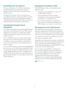# Benefiting from Tax Deferral

**Pre-tax contributions**—Your TDA contributions are subtracted from your pay before taxes are deducted, thereby reducing the amount of your taxable income.

**Tax-deferred earnings**—You do not pay taxes on your TDA investments until you actually receive the funds from your account. Distributions generally are federally taxable and may be subject to state and local taxes; please check with your tax advisor.

## Contributing Through Payroll **Deductions**

Your TDA contributions are automatically deducted from your pay and deposited in your TDA account. Investing a set amount on a regular basis (called "dollar-cost averaging") tends to produce positive results over time.

Your contributions buy more shares (units) when the price is low, and fewer when the price is high. In addition, since you contribute to the TDA at a set rate, your contributions automatically increase with your salary

Use our TDA calculator, located under the **Resources** tab at [www.trsnyc.org.](https://www.trsnyc.org) Pick various contribution rates to see how they impact your take-home pay. Or, enter specific dollar amounts you want to contribute; the calculator will convert them into a percentage of your pay. Using the calculator can also help you reach your TDA savings goal.

# Enjoying the Flexibility of TDA

The TDA Program offers you flexibility in the following ways:

- $\checkmark$  You may invest contributions in any or all of TRS' Passport Funds.
- $\checkmark$  You may change the way your future contributions and current accumulations are invested on a quarterly basis.
- $\checkmark$  If you want to change your contribution rate or stop (or resume) contributing to the TDA Program, you may do so at any time.

## Borrowing from Your TDA Account

The TDA Program allows eligible participants to take loans against their TDA account. In general, members may take loans against their TDA account after one year of participation in the TDA Program.

You may have more than one TDA loan open at a time, up to a maximum of five.

Generally, the minimum loan amount is \$1,000 (or \$250 if you have an existing outstanding TDA loan). The maximum loan amount depends on many factors but generally cannot exceed \$50,000 or 75% of the value of your TDA account.

In most cases, you would have a maximum of five years (60 months) to repay your TDA loan. For in-service members, loans are normally paid through payroll deductions. For retirees who maintain their TDA account after retiring, TDA loans can be repaid automatically through deductions from retirement allowance payments.

*[TDA Loans](https://www.trsnyc.org/memberportal/WebContent/publications/brochures/Brochure42)*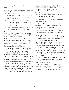## Withdrawing Funds from Your TDA Account

Since the TDA Program is designed as a retirement plan, the IRS places restrictions on withdrawals before retirement.

- $\checkmark$  Members who have reached age 59½, or have separated from service, have unrestricted access to their TDA funds.
- $\checkmark$  Members who have not reached age 59½ may withdraw any Pre-1989 funds (*i.e.*, TDA contributions and earnings accumulated as of December 31, 1988).
- $\checkmark$  Other members may withdraw TDA funds only under hardship conditions defined below.

To continue to defer taxes on withdrawn TDA funds, you may ask TRS to directly roll over the funds to a qualified Individual Retirement Arrangement (IRA) or other eligible successor program.

TDA withdrawals are generally distributed within 45 days of receiving your withdrawal request, or within 15 days if the withdrawal is drawn only from your balance in the Fixed Return Fund.

#### **Requesting a Hardship Withdrawal**

If you are an in-service member who has not yet reached age 59½, you may withdraw pre-1989 funds (*i.e.*, TDA contributions and earnings accumulated as of December 31, 1988). Withdrawals of other TDA funds is permitted only under hardship conditions, which is defined as a sudden and heavy financial need that you are unable to reasonably meet through other financial resources.

Examples of qualifying hardship conditions include payment of certain medical or funeral expenses, payment of post-secondary school tuition, and payment to prevent eviction or foreclosure. Expenses resulting from certain federally declared disasters may also qualify as eligible hardships, subject to IRS guidelines. You must maximize other available

TRS and non-TRS resources and provide TRS with appropriate documentation before a hardship withdrawal can be granted. TDA hardship withdrawals are not eligible for rollover.

Your TDA hardship withdrawal is issued on the first available TRS payroll that occurs at least 60 days after TRS receives your application.

## Understanding the Tax Consequences of Withdrawals

For all Direct Withdrawals other than hardship withdrawals, TRS is required to withhold 20% of withdrawn amounts over \$200. TRS sends the withheld amount to the IRS as credit toward your federal income taxes. (Withholding is not applied to any amount that TRS rolls over to an eligible successor program.) If you receive a Direct Withdrawal and do not roll over the distribution within 60 days of the date on the withdrawal check, the withdrawal would generally be subject to federal tax (and possibly state and local taxes).

The IRS may impose an additional 10% tax on all Direct Withdrawals, unless they are made a) in conjunction with your separation from service during or after the year in which you reach age 55; or b) during or after the year in which you reach age 59½; or c) as a qualified hardship withdrawal; or d) in conjunction with your disability retirement; or e) by your beneficiary in conjunction with a death benefit payment.

Amounts distributed through a hardship withdrawal are subject to federal income tax; you may choose to have 10% withholding applied (or not). State and local taxes may also apply.

Any amount withheld from a TDA withdrawal may be claimed as tax paid for the year of distribution. For any questions about the taxability of TDA withdrawals, please check with your tax advisor.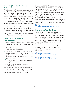## Separating from Service Before Retirement

If you leave service after attaining vested rights under the QPP, you may either a) withdraw your TDA funds or b) maintain your TDA account by filing a "TDA Deferral Status Election Form for Vested Members" (code TD31). Electing TDA Deferral status allows you to postpone the distribution of your TDA funds past your retirement date. Deferring distribution of your TDA funds means that you would avoid paying taxes on those funds (and any resulting interest/investment return) until you receive them.

If you leave service before attaining vested rights under the QPP, you may withdraw your TDA funds. If you leave your TDA funds with TRS, they continue to accrue interest/investment return for seven school years. However, if you withdraw your QPP funds, you must also withdraw your TDA funds

## Receiving Your TDA Funds After Retirement

When you retire, you must make a decision regarding the distribution of your TDA funds. Your options are described below. You may:

- $\checkmark$  Elect TDA Deferral status to maintain your TDA balance during retirement.
- Receive your TDA funds as a monthly annuity, which is separate from, and in addition to, your QPP retirement allowance. Generally, annuities are federally taxable and may be subject to state and local taxes.
- $\checkmark$  Withdraw your TDA funds, or roll them over to an eligible successor program.

You may choose to withdraw/roll over a portion of your TDA funds at retirement and annuitize or defer receipt of the balance. As part of your online retirement application, you may elect TDA Deferral status, but you may have to file additional forms to annuitize, withdraw, or roll over TDA funds.

If you choose TDA Deferral status to maintain a TDA balance during retirement, please note that IRS rules determine how long TDA participants may defer receipt of their TDA funds. In general, annual TDA distributions are required for members who have left service and who have reached their "required beginning age" by December 31 of a given year. Currently, the required beginning age is 72. Each year, TRS contacts members who are subject to the IRS' Required Minimum Distribution (RMD) rules and informs them of their distribution options.

*[Required Minimum Distributions](https://www.trsnyc.org/memberportal/WebContent/publications/brochures/Brochure54)  [\(For Members with TDA Deferral Status\)](https://www.trsnyc.org/memberportal/WebContent/publications/brochures/Brochure54)*

## Providing for Your Survivors

The TDA Program allows you to name one or more beneficiaries to receive your TDA funds in the event of your death. You should keep a current beneficiary designation on file with TRS at all times. Please be aware that, if you do not have a beneficiary designation on file with TRS, the TDA funds in your account will be payable to your estate after your death.

If you elect to annuitize your TDA funds at retirement, you may choose from several payment options that provide benefits for one or more beneficiaries.

- *[Guide to Death Benefits](https://www.trsnyc.org/memberportal/WebContent/publications/brochures/Brochure65)  [\(For Beneficiaries of Retired Members\)](https://www.trsnyc.org/memberportal/WebContent/publications/brochures/Brochure65)*
- *[Guide to Death Benefits](https://www.trsnyc.org/memberportal/WebContent/publications/brochures/Brochure66)  [\(For Beneficiaries of Non-Retired Members\)](https://www.trsnyc.org/memberportal/WebContent/publications/brochures/Brochure66)*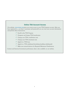# Online TDA Account Access

Our website, **[www.trsnyc.org](https://www.trsnyc.org)** gives you secure access to your TDA Program account. After you have registered (*i.e.*, you have a username and password), you can view your account information and perform these transactions:

- $\checkmark$  Enroll in the TDA Program
- $\checkmark$  Designate and change TDA beneficiaries
- Change your TDA contribution rate
- $\checkmark$  Change your TDA investment mix
- Apply for a TDA loan
- $\checkmark$  Apply for a TDA withdrawal (including hardship withdrawals)
- $\checkmark$  Make your annual election for Required Minimum Distributions

Current and historical investment performance data is also available on our website.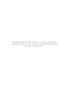*This publication should not be solely relied upon, as it is based on currently available information that is subject to change. In all cases, the specific provisions of the governing laws, rules, and regulations prevail.*